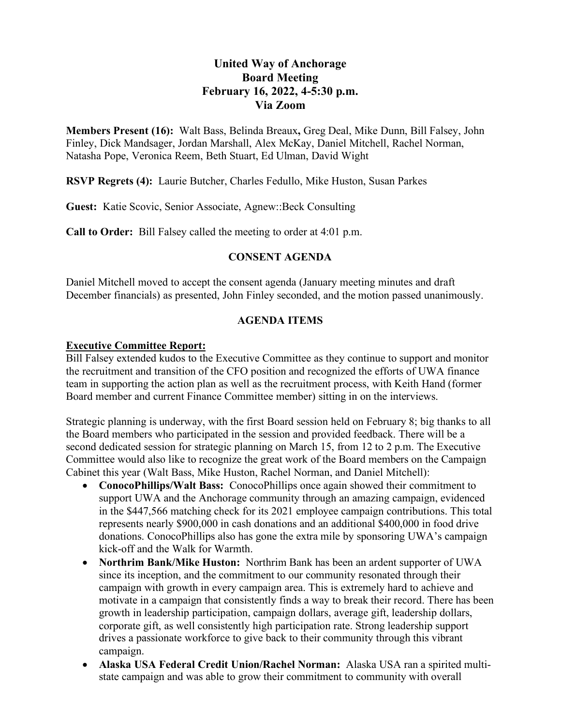# **United Way of Anchorage Board Meeting February 16, 2022, 4-5:30 p.m. Via Zoom**

**Members Present (16):** Walt Bass, Belinda Breaux**,** Greg Deal, Mike Dunn, Bill Falsey, John Finley, Dick Mandsager, Jordan Marshall, Alex McKay, Daniel Mitchell, Rachel Norman, Natasha Pope, Veronica Reem, Beth Stuart, Ed Ulman, David Wight

**RSVP Regrets (4):** Laurie Butcher, Charles Fedullo, Mike Huston, Susan Parkes

**Guest:** Katie Scovic, Senior Associate, Agnew::Beck Consulting

**Call to Order:** Bill Falsey called the meeting to order at 4:01 p.m.

## **CONSENT AGENDA**

Daniel Mitchell moved to accept the consent agenda (January meeting minutes and draft December financials) as presented, John Finley seconded, and the motion passed unanimously.

## **AGENDA ITEMS**

### **Executive Committee Report:**

Bill Falsey extended kudos to the Executive Committee as they continue to support and monitor the recruitment and transition of the CFO position and recognized the efforts of UWA finance team in supporting the action plan as well as the recruitment process, with Keith Hand (former Board member and current Finance Committee member) sitting in on the interviews.

Strategic planning is underway, with the first Board session held on February 8; big thanks to all the Board members who participated in the session and provided feedback. There will be a second dedicated session for strategic planning on March 15, from 12 to 2 p.m. The Executive Committee would also like to recognize the great work of the Board members on the Campaign Cabinet this year (Walt Bass, Mike Huston, Rachel Norman, and Daniel Mitchell):

- **ConocoPhillips/Walt Bass:** ConocoPhillips once again showed their commitment to support UWA and the Anchorage community through an amazing campaign, evidenced in the \$447,566 matching check for its 2021 employee campaign contributions. This total represents nearly \$900,000 in cash donations and an additional \$400,000 in food drive donations. ConocoPhillips also has gone the extra mile by sponsoring UWA's campaign kick-off and the Walk for Warmth.
- **Northrim Bank/Mike Huston:** Northrim Bank has been an ardent supporter of UWA since its inception, and the commitment to our community resonated through their campaign with growth in every campaign area. This is extremely hard to achieve and motivate in a campaign that consistently finds a way to break their record. There has been growth in leadership participation, campaign dollars, average gift, leadership dollars, corporate gift, as well consistently high participation rate. Strong leadership support drives a passionate workforce to give back to their community through this vibrant campaign.
- **Alaska USA Federal Credit Union/Rachel Norman:** Alaska USA ran a spirited multistate campaign and was able to grow their commitment to community with overall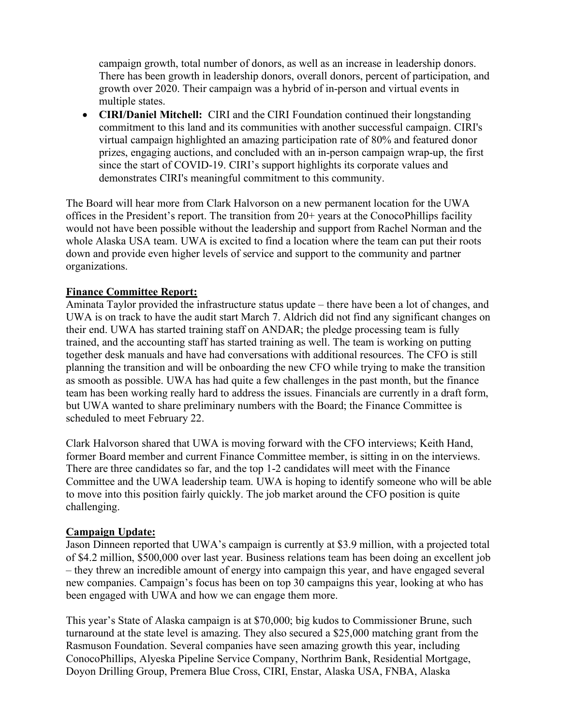campaign growth, total number of donors, as well as an increase in leadership donors. There has been growth in leadership donors, overall donors, percent of participation, and growth over 2020. Their campaign was a hybrid of in-person and virtual events in multiple states.

• **CIRI/Daniel Mitchell:** CIRI and the CIRI Foundation continued their longstanding commitment to this land and its communities with another successful campaign. CIRI's virtual campaign highlighted an amazing participation rate of 80% and featured donor prizes, engaging auctions, and concluded with an in-person campaign wrap-up, the first since the start of COVID-19. CIRI's support highlights its corporate values and demonstrates CIRI's meaningful commitment to this community.

The Board will hear more from Clark Halvorson on a new permanent location for the UWA offices in the President's report. The transition from 20+ years at the ConocoPhillips facility would not have been possible without the leadership and support from Rachel Norman and the whole Alaska USA team. UWA is excited to find a location where the team can put their roots down and provide even higher levels of service and support to the community and partner organizations.

### **Finance Committee Report:**

Aminata Taylor provided the infrastructure status update – there have been a lot of changes, and UWA is on track to have the audit start March 7. Aldrich did not find any significant changes on their end. UWA has started training staff on ANDAR; the pledge processing team is fully trained, and the accounting staff has started training as well. The team is working on putting together desk manuals and have had conversations with additional resources. The CFO is still planning the transition and will be onboarding the new CFO while trying to make the transition as smooth as possible. UWA has had quite a few challenges in the past month, but the finance team has been working really hard to address the issues. Financials are currently in a draft form, but UWA wanted to share preliminary numbers with the Board; the Finance Committee is scheduled to meet February 22.

Clark Halvorson shared that UWA is moving forward with the CFO interviews; Keith Hand, former Board member and current Finance Committee member, is sitting in on the interviews. There are three candidates so far, and the top 1-2 candidates will meet with the Finance Committee and the UWA leadership team. UWA is hoping to identify someone who will be able to move into this position fairly quickly. The job market around the CFO position is quite challenging.

#### **Campaign Update:**

Jason Dinneen reported that UWA's campaign is currently at \$3.9 million, with a projected total of \$4.2 million, \$500,000 over last year. Business relations team has been doing an excellent job – they threw an incredible amount of energy into campaign this year, and have engaged several new companies. Campaign's focus has been on top 30 campaigns this year, looking at who has been engaged with UWA and how we can engage them more.

This year's State of Alaska campaign is at \$70,000; big kudos to Commissioner Brune, such turnaround at the state level is amazing. They also secured a \$25,000 matching grant from the Rasmuson Foundation. Several companies have seen amazing growth this year, including ConocoPhillips, Alyeska Pipeline Service Company, Northrim Bank, Residential Mortgage, Doyon Drilling Group, Premera Blue Cross, CIRI, Enstar, Alaska USA, FNBA, Alaska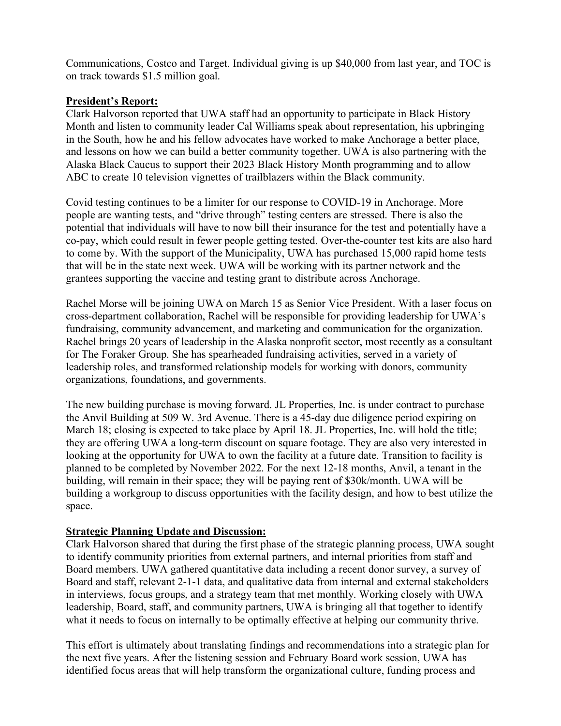Communications, Costco and Target. Individual giving is up \$40,000 from last year, and TOC is on track towards \$1.5 million goal.

## **President's Report:**

Clark Halvorson reported that UWA staff had an opportunity to participate in Black History Month and listen to community leader Cal Williams speak about representation, his upbringing in the South, how he and his fellow advocates have worked to make Anchorage a better place, and lessons on how we can build a better community together. UWA is also partnering with the Alaska Black Caucus to support their 2023 Black History Month programming and to allow ABC to create 10 television vignettes of trailblazers within the Black community.

Covid testing continues to be a limiter for our response to COVID-19 in Anchorage. More people are wanting tests, and "drive through" testing centers are stressed. There is also the potential that individuals will have to now bill their insurance for the test and potentially have a co-pay, which could result in fewer people getting tested. Over-the-counter test kits are also hard to come by. With the support of the Municipality, UWA has purchased 15,000 rapid home tests that will be in the state next week. UWA will be working with its partner network and the grantees supporting the vaccine and testing grant to distribute across Anchorage.

Rachel Morse will be joining UWA on March 15 as Senior Vice President. With a laser focus on cross-department collaboration, Rachel will be responsible for providing leadership for UWA's fundraising, community advancement, and marketing and communication for the organization. Rachel brings 20 years of leadership in the Alaska nonprofit sector, most recently as a consultant for The Foraker Group. She has spearheaded fundraising activities, served in a variety of leadership roles, and transformed relationship models for working with donors, community organizations, foundations, and governments.

The new building purchase is moving forward. JL Properties, Inc. is under contract to purchase the Anvil Building at 509 W. 3rd Avenue. There is a 45-day due diligence period expiring on March 18; closing is expected to take place by April 18. JL Properties, Inc. will hold the title; they are offering UWA a long-term discount on square footage. They are also very interested in looking at the opportunity for UWA to own the facility at a future date. Transition to facility is planned to be completed by November 2022. For the next 12-18 months, Anvil, a tenant in the building, will remain in their space; they will be paying rent of \$30k/month. UWA will be building a workgroup to discuss opportunities with the facility design, and how to best utilize the space.

#### **Strategic Planning Update and Discussion:**

Clark Halvorson shared that during the first phase of the strategic planning process, UWA sought to identify community priorities from external partners, and internal priorities from staff and Board members. UWA gathered quantitative data including a recent donor survey, a survey of Board and staff, relevant 2-1-1 data, and qualitative data from internal and external stakeholders in interviews, focus groups, and a strategy team that met monthly. Working closely with UWA leadership, Board, staff, and community partners, UWA is bringing all that together to identify what it needs to focus on internally to be optimally effective at helping our community thrive.

This effort is ultimately about translating findings and recommendations into a strategic plan for the next five years. After the listening session and February Board work session, UWA has identified focus areas that will help transform the organizational culture, funding process and